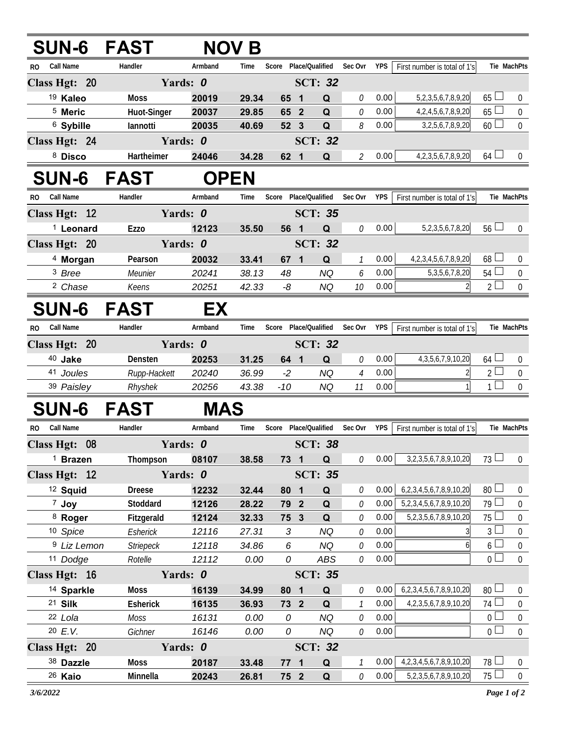| <b>SUN-6 FAST</b>      |                         |                | <b>NOV B</b>   |                       |  |                  |                    |              |                                                                     |                                  |                               |
|------------------------|-------------------------|----------------|----------------|-----------------------|--|------------------|--------------------|--------------|---------------------------------------------------------------------|----------------------------------|-------------------------------|
| Call Name<br>RO.       | Handler                 | Armband        | Time           | Score                 |  | Place/Qualified  | Sec Ovr            | <b>YPS</b>   | First number is total of 1's                                        |                                  | Tie MachPts                   |
| Class Hgt: 20          | Yards: 0                |                |                |                       |  | <b>SCT: 32</b>   |                    |              |                                                                     |                                  |                               |
| <sup>19</sup> Kaleo    | <b>Moss</b>             | 20019          | 29.34          | 65 1                  |  | Q                | 0                  | 0.00         | 5, 2, 3, 5, 6, 7, 8, 9, 20                                          | $65 \perp$                       | $\overline{0}$                |
| <sup>5</sup> Meric     | Huot-Singer             | 20037          | 29.85          | 65 2                  |  | Q                | 0                  | 0.00         | 4,2,4,5,6,7,8,9,20                                                  | 65                               | $\boldsymbol{0}$              |
| <sup>6</sup> Sybille   | lannotti                | 20035          | 40.69          | 52 3                  |  | Q                | 8                  | 0.00         | 3, 2, 5, 6, 7, 8, 9, 20                                             | $60$ $\Box$                      | $\mathbf 0$                   |
| Class Hgt: 24          |                         | Yards: 0       | <b>SCT: 32</b> |                       |  |                  |                    |              |                                                                     |                                  |                               |
| 8 Disco                | Hartheimer              | 24046          | 34.28          | 62 1                  |  | Q                | $\mathcal{Z}$      | 0.00         | 4, 2, 3, 5, 6, 7, 8, 9, 20                                          | $64$ $-$                         | $\overline{0}$                |
| <b>SUN-6 FAST</b>      |                         | <b>OPEN</b>    |                |                       |  |                  |                    |              |                                                                     |                                  |                               |
| Call Name<br>RO.       | Handler                 | Armband        | Time           | Score Place/Qualified |  |                  | Sec Ovr            | YPS          | First number is total of 1's                                        |                                  | Tie MachPts                   |
| Class Hgt: 12          |                         | Yards: 0       |                |                       |  | <b>SCT: 35</b>   |                    |              |                                                                     |                                  |                               |
| <sup>1</sup> Leonard   | <b>Ezzo</b>             | 12123          | 35.50          | 56 1                  |  | Q                | 0                  | 0.00         | 5, 2, 3, 5, 6, 7, 8, 20                                             | $56\Box$                         | $\overline{0}$                |
| Class Hgt: 20          | Yards: 0                |                |                |                       |  | <b>SCT: 32</b>   |                    |              |                                                                     |                                  |                               |
| <sup>4</sup> Morgan    | Pearson                 | 20032          | 33.41          | 67 <sub>1</sub>       |  | Q                | $\mathcal{I}$      | 0.00         | 4, 2, 3, 4, 5, 6, 7, 8, 9, 20                                       | $68$ $-$                         | 0                             |
| <sup>3</sup> Bree      | Meunier                 | 20241          | 38.13          | 48                    |  | <b>NQ</b>        | 6                  | 0.00         | 5, 3, 5, 6, 7, 8, 20                                                | 54 <sup>1</sup>                  | 0                             |
| <sup>2</sup> Chase     | Keens                   | 20251          | 42.33          | -8                    |  | <b>NQ</b>        | 10                 | 0.00         |                                                                     | $2 -$                            | $\mathbf 0$                   |
| <b>SUN-6 FAST</b>      |                         | EX             |                |                       |  |                  |                    |              |                                                                     |                                  |                               |
| Call Name<br>RO.       | Handler                 | Armband        | Time           | Score Place/Qualified |  |                  | Sec Ovr            | YPS          | First number is total of 1's                                        |                                  | Tie MachPts                   |
| Class Hgt: 20          |                         | Yards: 0       |                |                       |  | <b>SCT: 32</b>   |                    |              |                                                                     |                                  |                               |
| 40 Jake                | Densten                 | 20253          | 31.25          | 64 1                  |  | Q                | 0                  | 0.00         | 4, 3, 5, 6, 7, 9, 10, 20                                            | $64$ $\Box$                      | $\mathbf 0$                   |
| 41 Joules              | Rupp-Hackett            | 20240          | 36.99          | $-2$                  |  | <b>NQ</b>        | $\overline{4}$     | 0.00         |                                                                     | 2 <sup>1</sup>                   | 0                             |
| 39 Paisley             | Rhyshek                 | 20256          | 43.38          | $-10$                 |  | NQ               | 11                 | 0.00         |                                                                     | 1 <sup>1</sup>                   | $\mathbf 0$                   |
| <b>SUN-6</b>           | <b>FAST</b>             | <b>MAS</b>     |                |                       |  |                  |                    |              |                                                                     |                                  |                               |
| Call Name<br>RO.       | Handler                 | Armband        | Time           | Score Place/Qualified |  |                  | Sec Ovr            | <b>YPS</b>   | First number is total of 1's                                        |                                  | Tie MachPts                   |
| Class Hgt: 08          |                         | Yards: 0       |                | <b>SCT: 38</b>        |  |                  |                    |              |                                                                     |                                  |                               |
| $1$ Brazen             | Thompson                | 08107          | 38.58          | $73 \quad 1$          |  | Q                | 0                  | 0.00         | 3, 2, 3, 5, 6, 7, 8, 9, 10, 20                                      | $73 \Box$                        | $\overline{0}$                |
| Class Hgt: 12          |                         | Yards: 0       |                |                       |  | <b>SCT: 35</b>   |                    |              |                                                                     |                                  |                               |
| <sup>12</sup> Squid    | <b>Dreese</b>           | 12232          | 32.44          | 80 1                  |  | Q                | 0                  | 0.00         | 6, 2, 3, 4, 5, 6, 7, 8, 9, 10, 20                                   | 80 <sup>1</sup>                  | $\mathbf 0$                   |
| 7 Joy                  | Stoddard                | 12126          | 28.22          | 79 2                  |  | $\mathbf Q$      | 0                  | 0.00         | 5,2,3,4,5,6,7,8,9,10,20                                             | $79 -$                           | $\boldsymbol{0}$              |
| <sup>8</sup> Roger     | Fitzgerald              | 12124          | 32.33          | 75 3                  |  | Q                | 0                  | 0.00         | 5,2,3,5,6,7,8,9,10,20                                               | 75 l                             | $\boldsymbol{0}$              |
| 10 Spice               | Esherick                | 12116          | 27.31          | $\mathfrak{Z}$        |  | <b>NQ</b>        | 0                  | 0.00         |                                                                     | 3 <sup>L</sup>                   | $\boldsymbol{0}$              |
| <sup>9</sup> Liz Lemon | <b>Striepeck</b>        | 12118          | 34.86          | 6                     |  | NQ               | 0                  | 0.00         | 6                                                                   | 6 <sup>1</sup>                   | $\boldsymbol{0}$              |
| 11 Dodge               | Rotelle                 | 12112          | 0.00           | 0                     |  | ABS              | 0                  | 0.00         |                                                                     | 0 <sup>1</sup>                   | $\mathbf 0$                   |
| Class Hgt: 16          |                         | Yards: 0       |                |                       |  | <b>SCT: 35</b>   |                    |              |                                                                     |                                  |                               |
| <sup>14</sup> Sparkle  | Moss                    | 16139          | 34.99          | 80 1                  |  | Q                | 0                  | 0.00         | 6,2,3,4,5,6,7,8,9,10,20                                             | $80 -$                           | $\mathbf 0$                   |
| 21 Silk                | <b>Esherick</b>         | 16135          | 36.93          | 73 2                  |  | Q                | $\mathcal{I}$      | 0.00         | 4, 2, 3, 5, 6, 7, 8, 9, 10, 20                                      | $74$ $-$                         | $\boldsymbol{0}$              |
| 22 Lola                | Moss                    | 16131          | 0.00           | 0                     |  | <b>NQ</b>        | 0                  | 0.00         |                                                                     | 0 <sub>0</sub><br>0 <sup>1</sup> | $\pmb{0}$                     |
| 20 E.V.                | Gichner                 | 16146          | 0.00           | 0                     |  | NQ               | 0                  | 0.00         |                                                                     |                                  | $\boldsymbol{0}$              |
| Class Hgt: 20          |                         | Yards: 0       |                |                       |  | <b>SCT: 32</b>   |                    |              |                                                                     |                                  |                               |
| 38 Dazzle<br>26 Kaio   | <b>Moss</b><br>Minnella | 20187<br>20243 | 33.48          | $77 1$                |  | Q<br>$\mathbf Q$ | $\mathcal{I}$<br>0 | 0.00<br>0.00 | 4, 2, 3, 4, 5, 6, 7, 8, 9, 10, 20<br>5, 2, 3, 5, 6, 7, 8, 9, 10, 20 | 78 l<br>$75 \Box$                | $\overline{0}$<br>$\mathbf 0$ |
|                        |                         |                | 26.81          | 75 2                  |  |                  |                    |              |                                                                     |                                  |                               |